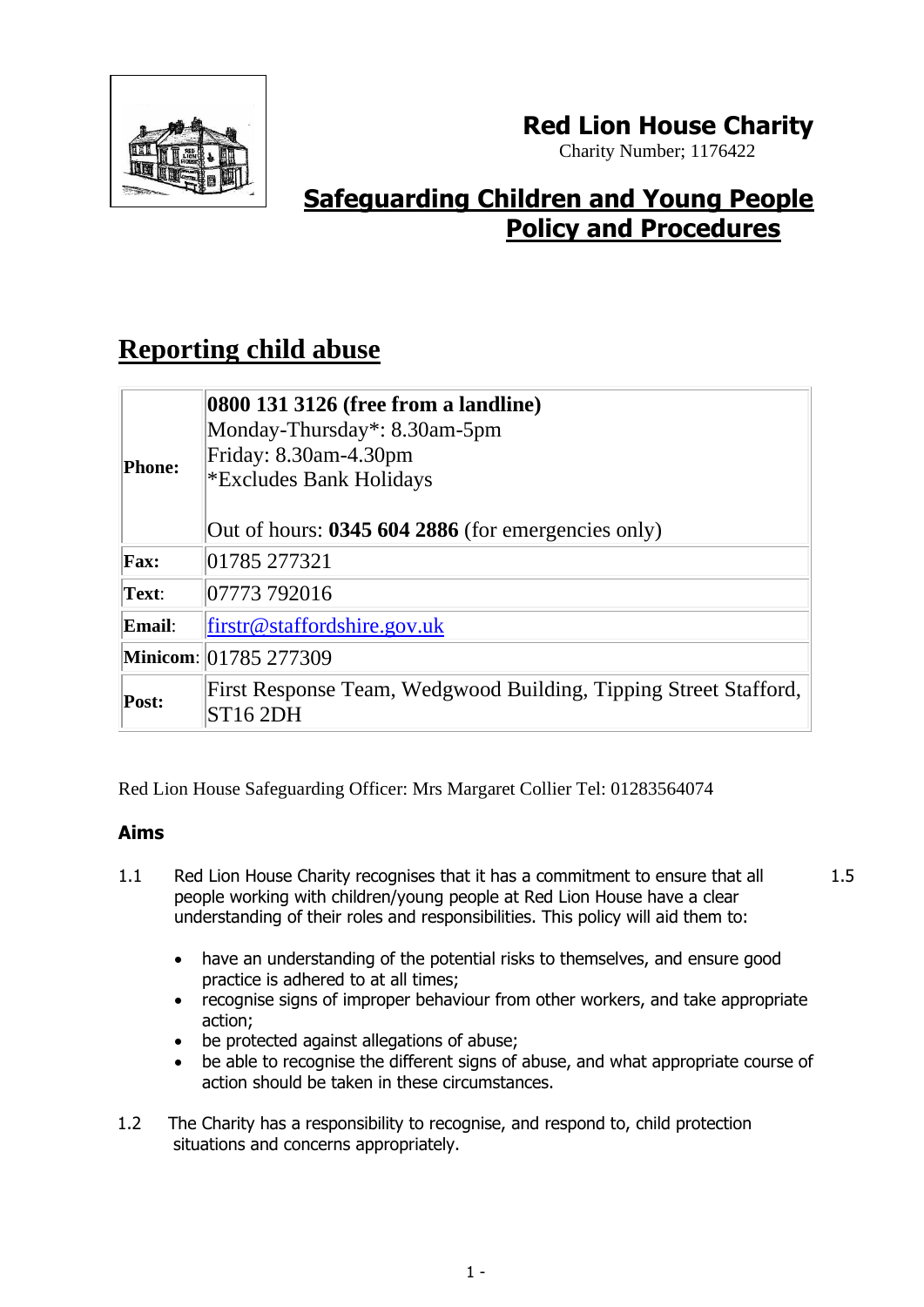

## **Red Lion House Charity**

Charity Number; 1176422

# **Safeguarding Children and Young People Policy and Procedures**

# **Reporting child abuse**

| <b>Phone:</b> | 0800 131 3126 (free from a landline)<br>Monday-Thursday*: 8.30am-5pm<br>Friday: 8.30am-4.30pm<br><i><b>*Excludes Bank Holidays</b></i><br>Out of hours: $03456042886$ (for emergencies only) |  |
|---------------|----------------------------------------------------------------------------------------------------------------------------------------------------------------------------------------------|--|
| <b>Fax:</b>   | 01785 277321                                                                                                                                                                                 |  |
| Text:         | 07773 792016                                                                                                                                                                                 |  |
| Email:        | $firstc@$ staffordshire.gov.uk                                                                                                                                                               |  |
|               | Minicom: 01785 277309                                                                                                                                                                        |  |
| Post:         | First Response Team, Wedgwood Building, Tipping Street Stafford,<br><b>ST16 2DH</b>                                                                                                          |  |

Red Lion House Safeguarding Officer: Mrs Margaret Collier Tel: 01283564074

## **Aims**

- 1.1 Red Lion House Charity recognises that it has a commitment to ensure that all people working with children/young people at Red Lion House have a clear understanding of their roles and responsibilities. This policy will aid them to:
- 1.5
- have an understanding of the potential risks to themselves, and ensure good practice is adhered to at all times;
- recognise signs of improper behaviour from other workers, and take appropriate action;
- be protected against allegations of abuse;
- be able to recognise the different signs of abuse, and what appropriate course of action should be taken in these circumstances.
- 1.2 The Charity has a responsibility to recognise, and respond to, child protection situations and concerns appropriately.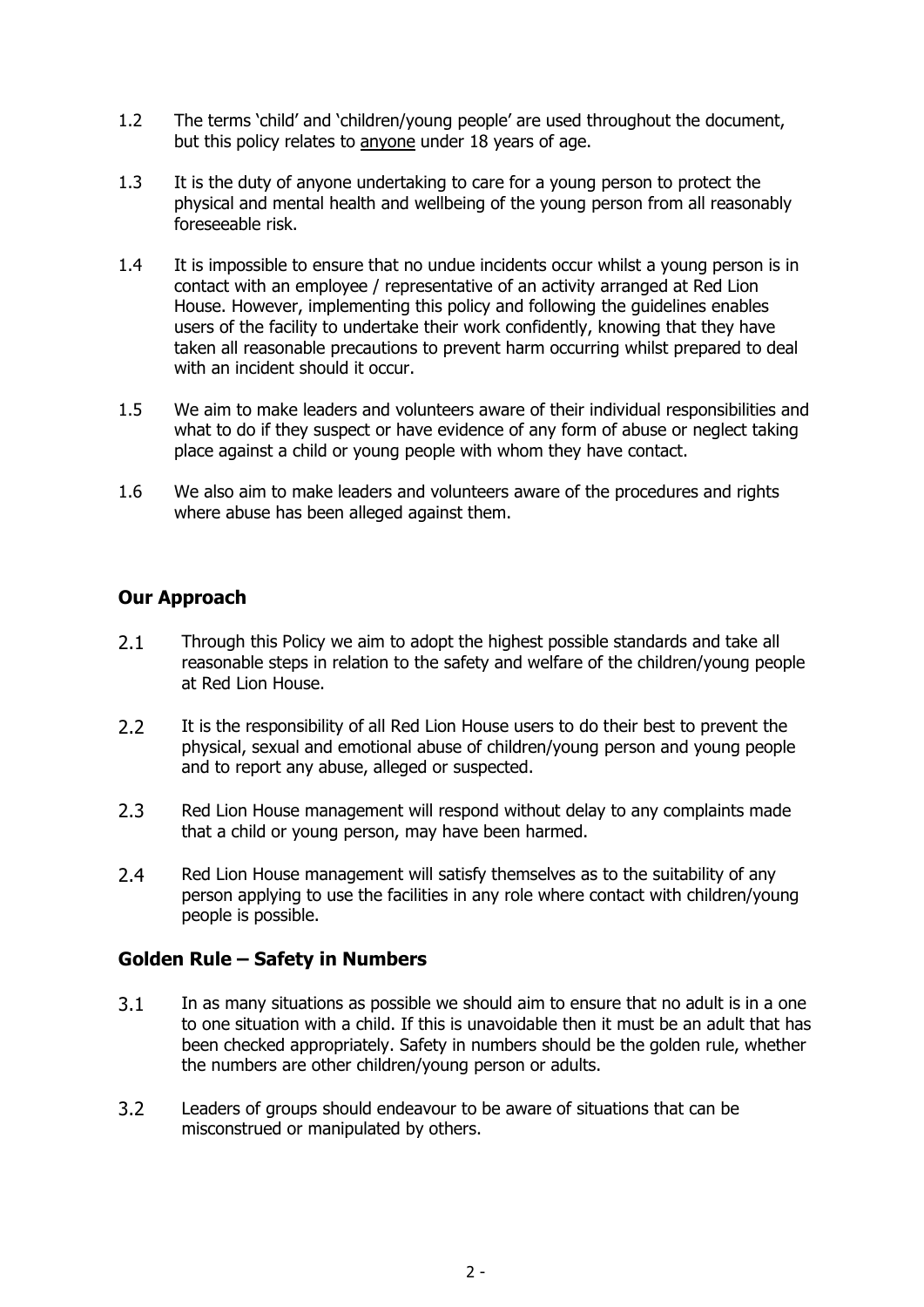- 1.2 The terms 'child' and 'children/young people' are used throughout the document, but this policy relates to anyone under 18 years of age.
- 1.3 It is the duty of anyone undertaking to care for a young person to protect the physical and mental health and wellbeing of the young person from all reasonably foreseeable risk.
- 1.4 It is impossible to ensure that no undue incidents occur whilst a young person is in contact with an employee / representative of an activity arranged at Red Lion House. However, implementing this policy and following the guidelines enables users of the facility to undertake their work confidently, knowing that they have taken all reasonable precautions to prevent harm occurring whilst prepared to deal with an incident should it occur.
- 1.5 We aim to make leaders and volunteers aware of their individual responsibilities and what to do if they suspect or have evidence of any form of abuse or neglect taking place against a child or young people with whom they have contact.
- 1.6 We also aim to make leaders and volunteers aware of the procedures and rights where abuse has been alleged against them.

## **Our Approach**

- 2.1 Through this Policy we aim to adopt the highest possible standards and take all reasonable steps in relation to the safety and welfare of the children/young people at Red Lion House.
- 2.2 It is the responsibility of all Red Lion House users to do their best to prevent the physical, sexual and emotional abuse of children/young person and young people and to report any abuse, alleged or suspected.
- 2.3 Red Lion House management will respond without delay to any complaints made that a child or young person, may have been harmed.
- 2.4 Red Lion House management will satisfy themselves as to the suitability of any person applying to use the facilities in any role where contact with children/young people is possible.

## **Golden Rule – Safety in Numbers**

- 3.1 In as many situations as possible we should aim to ensure that no adult is in a one to one situation with a child. If this is unavoidable then it must be an adult that has been checked appropriately. Safety in numbers should be the golden rule, whether the numbers are other children/young person or adults.
- 3.2 Leaders of groups should endeavour to be aware of situations that can be misconstrued or manipulated by others.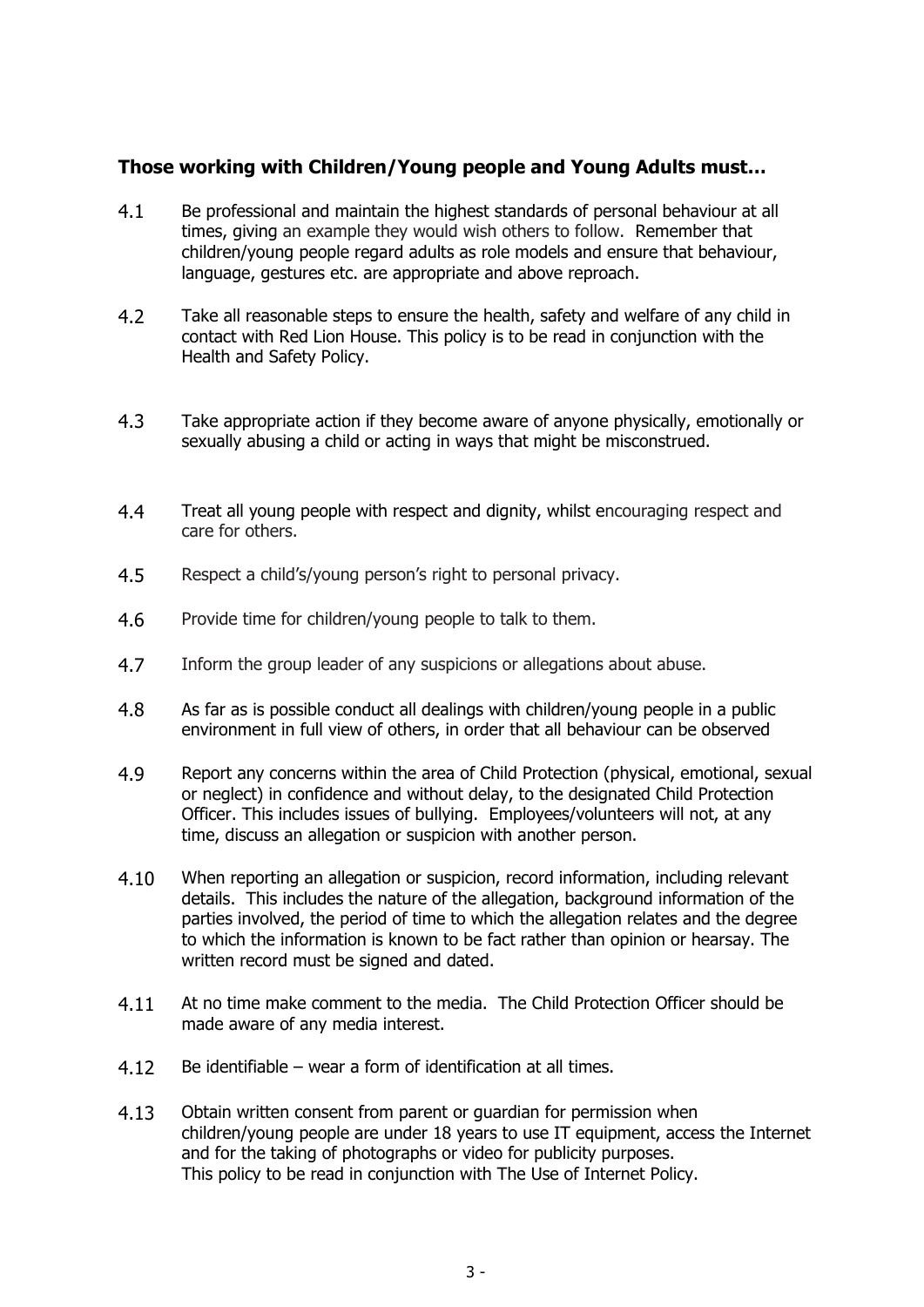#### **Those working with Children/Young people and Young Adults must…**

- 4.1 Be professional and maintain the highest standards of personal behaviour at all times, giving an example they would wish others to follow. Remember that children/young people regard adults as role models and ensure that behaviour, language, gestures etc. are appropriate and above reproach.
- 4.2 Take all reasonable steps to ensure the health, safety and welfare of any child in contact with Red Lion House. This policy is to be read in conjunction with the Health and Safety Policy.
- 4.3 Take appropriate action if they become aware of anyone physically, emotionally or sexually abusing a child or acting in ways that might be misconstrued.
- 4.4 Treat all young people with respect and dignity, whilst encouraging respect and care for others.
- 4.5 Respect a child's/young person's right to personal privacy.
- 4.6 Provide time for children/young people to talk to them.
- 4.7 Inform the group leader of any suspicions or allegations about abuse.
- 4.8 As far as is possible conduct all dealings with children/young people in a public environment in full view of others, in order that all behaviour can be observed
- 4.9 Report any concerns within the area of Child Protection (physical, emotional, sexual or neglect) in confidence and without delay, to the designated Child Protection Officer. This includes issues of bullying. Employees/volunteers will not, at any time, discuss an allegation or suspicion with another person.
- 4.10 When reporting an allegation or suspicion, record information, including relevant details. This includes the nature of the allegation, background information of the parties involved, the period of time to which the allegation relates and the degree to which the information is known to be fact rather than opinion or hearsay. The written record must be signed and dated.
- 4.11 At no time make comment to the media. The Child Protection Officer should be made aware of any media interest.
- 4.12 Be identifiable wear a form of identification at all times.
- 4.13 Obtain written consent from parent or guardian for permission when children/young people are under 18 years to use IT equipment, access the Internet and for the taking of photographs or video for publicity purposes. This policy to be read in conjunction with The Use of Internet Policy.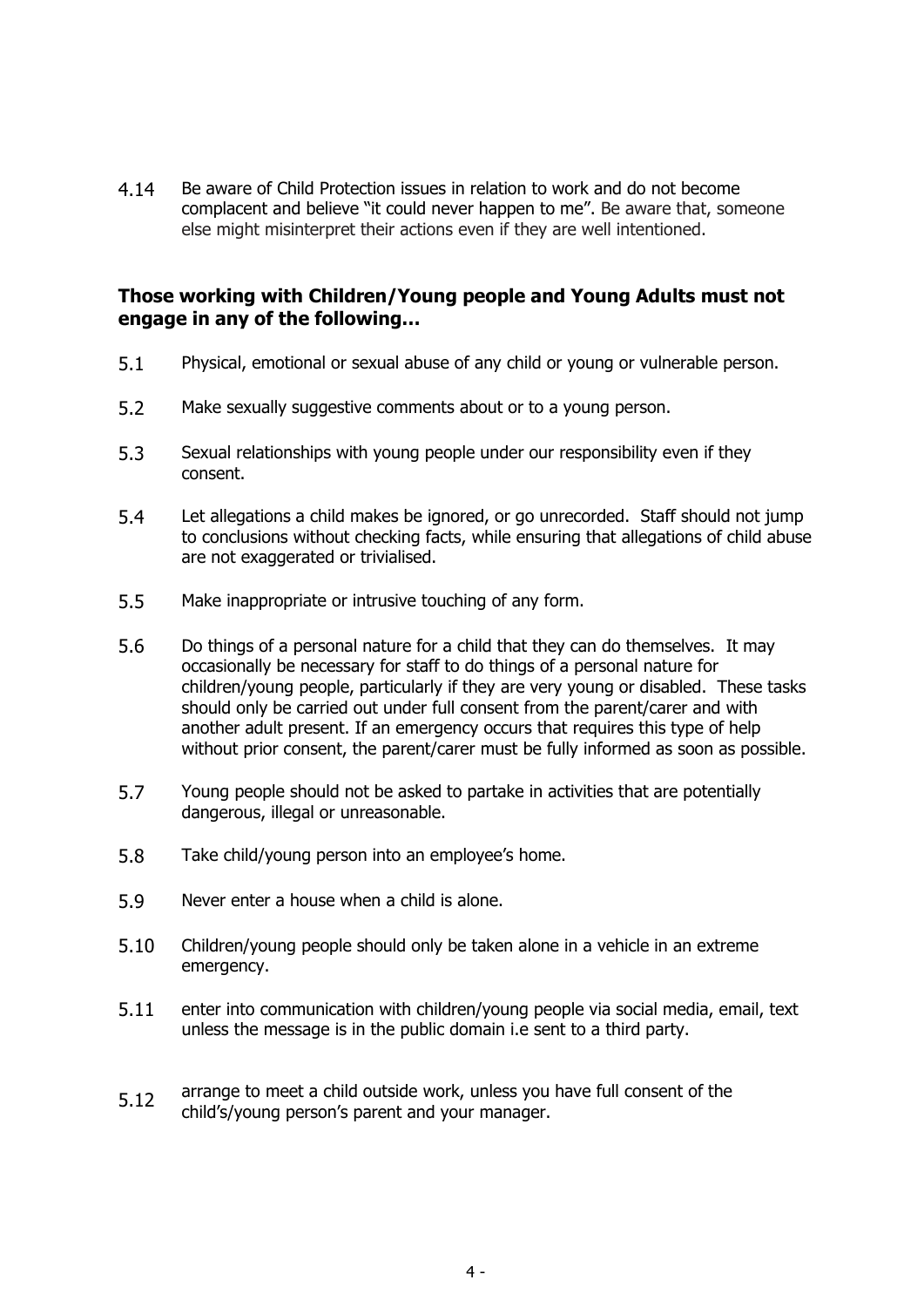4.14 Be aware of Child Protection issues in relation to work and do not become complacent and believe "it could never happen to me". Be aware that, someone else might misinterpret their actions even if they are well intentioned.

#### **Those working with Children/Young people and Young Adults must not engage in any of the following…**

- 5.1 Physical, emotional or sexual abuse of any child or young or vulnerable person.
- 5.2 Make sexually suggestive comments about or to a young person.
- 5.3 Sexual relationships with young people under our responsibility even if they consent.
- 5.4 Let allegations a child makes be ignored, or go unrecorded. Staff should not jump to conclusions without checking facts, while ensuring that allegations of child abuse are not exaggerated or trivialised.
- 5.5 Make inappropriate or intrusive touching of any form.
- 5.6 Do things of a personal nature for a child that they can do themselves. It may occasionally be necessary for staff to do things of a personal nature for children/young people, particularly if they are very young or disabled. These tasks should only be carried out under full consent from the parent/carer and with another adult present. If an emergency occurs that requires this type of help without prior consent, the parent/carer must be fully informed as soon as possible.
- 5.7 Young people should not be asked to partake in activities that are potentially dangerous, illegal or unreasonable.
- 5.8 Take child/young person into an employee's home.
- 5.9 Never enter a house when a child is alone.
- 5.10 Children/young people should only be taken alone in a vehicle in an extreme emergency.
- 5.11 enter into communication with children/young people via social media, email, text unless the message is in the public domain i.e sent to a third party.
- 5.12 arrange to meet a child outside work, unless you have full consent of the child's/young person's parent and your manager.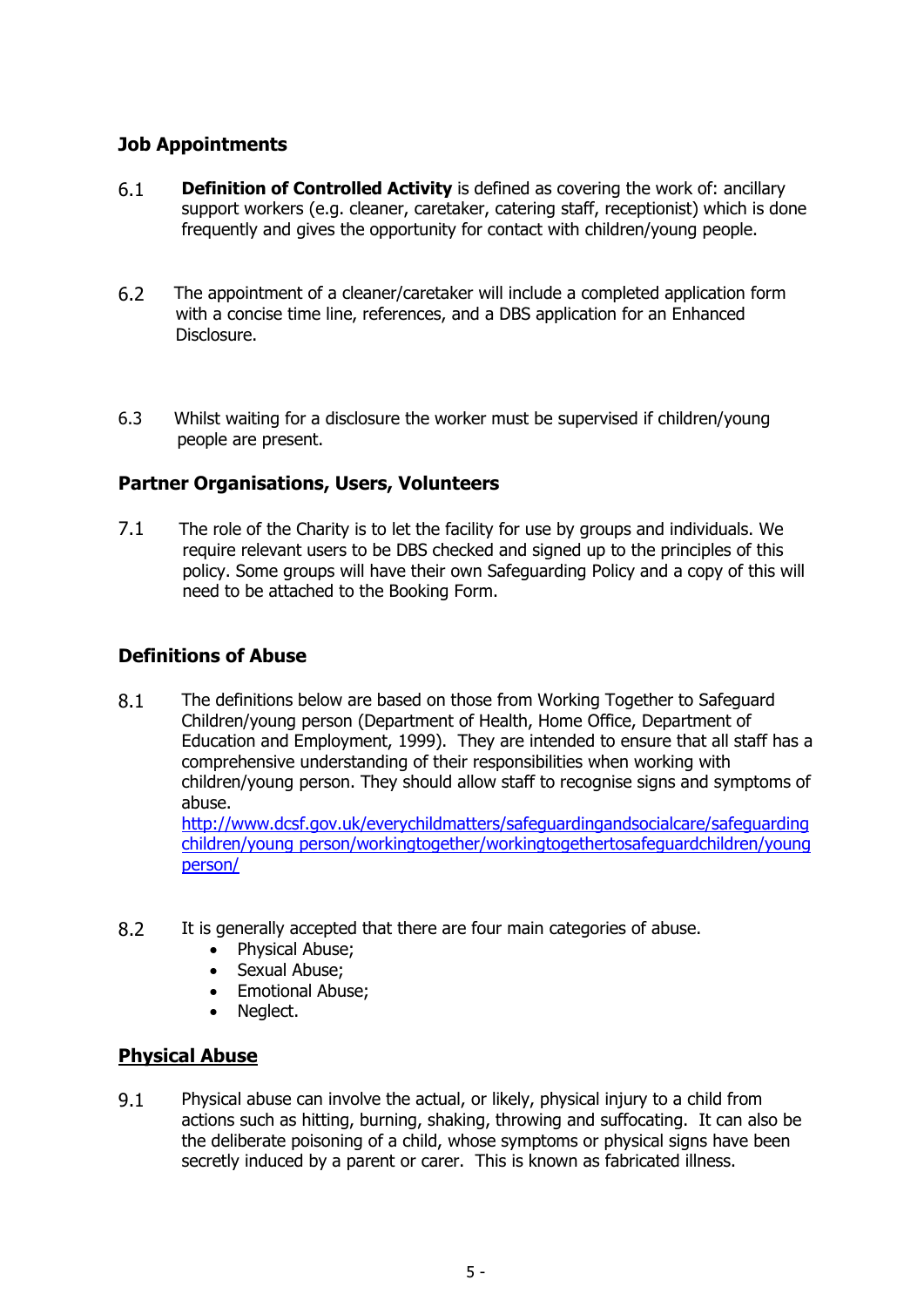## **Job Appointments**

- 6.1 **Definition of Controlled Activity** is defined as covering the work of: ancillary support workers (e.g. cleaner, caretaker, catering staff, receptionist) which is done frequently and gives the opportunity for contact with children/young people.
- 6.2 The appointment of a cleaner/caretaker will include a completed application form with a concise time line, references, and a DBS application for an Enhanced Disclosure.
- 6.3 Whilst waiting for a disclosure the worker must be supervised if children/young people are present.

## **Partner Organisations, Users, Volunteers**

7.1 The role of the Charity is to let the facility for use by groups and individuals. We require relevant users to be DBS checked and signed up to the principles of this policy. Some groups will have their own Safeguarding Policy and a copy of this will need to be attached to the Booking Form.

#### **Definitions of Abuse**

8.1 The definitions below are based on those from Working Together to Safeguard Children/young person (Department of Health, Home Office, Department of Education and Employment, 1999). They are intended to ensure that all staff has a comprehensive understanding of their responsibilities when working with children/young person. They should allow staff to recognise signs and symptoms of abuse.

[http://www.dcsf.gov.uk/everychildmatters/safeguardingandsocialcare/safeguarding](http://www.dcsf.gov.uk/everychildmatters/safeguardingandsocialcare/safeguardingchildren/workingtogether/workingtogethertosafeguardchildren/) [children/young person/workingtogether/workingtogethertosafeguardchildren/young](http://www.dcsf.gov.uk/everychildmatters/safeguardingandsocialcare/safeguardingchildren/workingtogether/workingtogethertosafeguardchildren/)  [person/](http://www.dcsf.gov.uk/everychildmatters/safeguardingandsocialcare/safeguardingchildren/workingtogether/workingtogethertosafeguardchildren/)

- 8.2 It is generally accepted that there are four main categories of abuse.
	- Physical Abuse;
	- Sexual Abuse;
	- Emotional Abuse;
	- Neglect.

#### **Physical Abuse**

9.1 Physical abuse can involve the actual, or likely, physical injury to a child from actions such as hitting, burning, shaking, throwing and suffocating. It can also be the deliberate poisoning of a child, whose symptoms or physical signs have been secretly induced by a parent or carer. This is known as fabricated illness.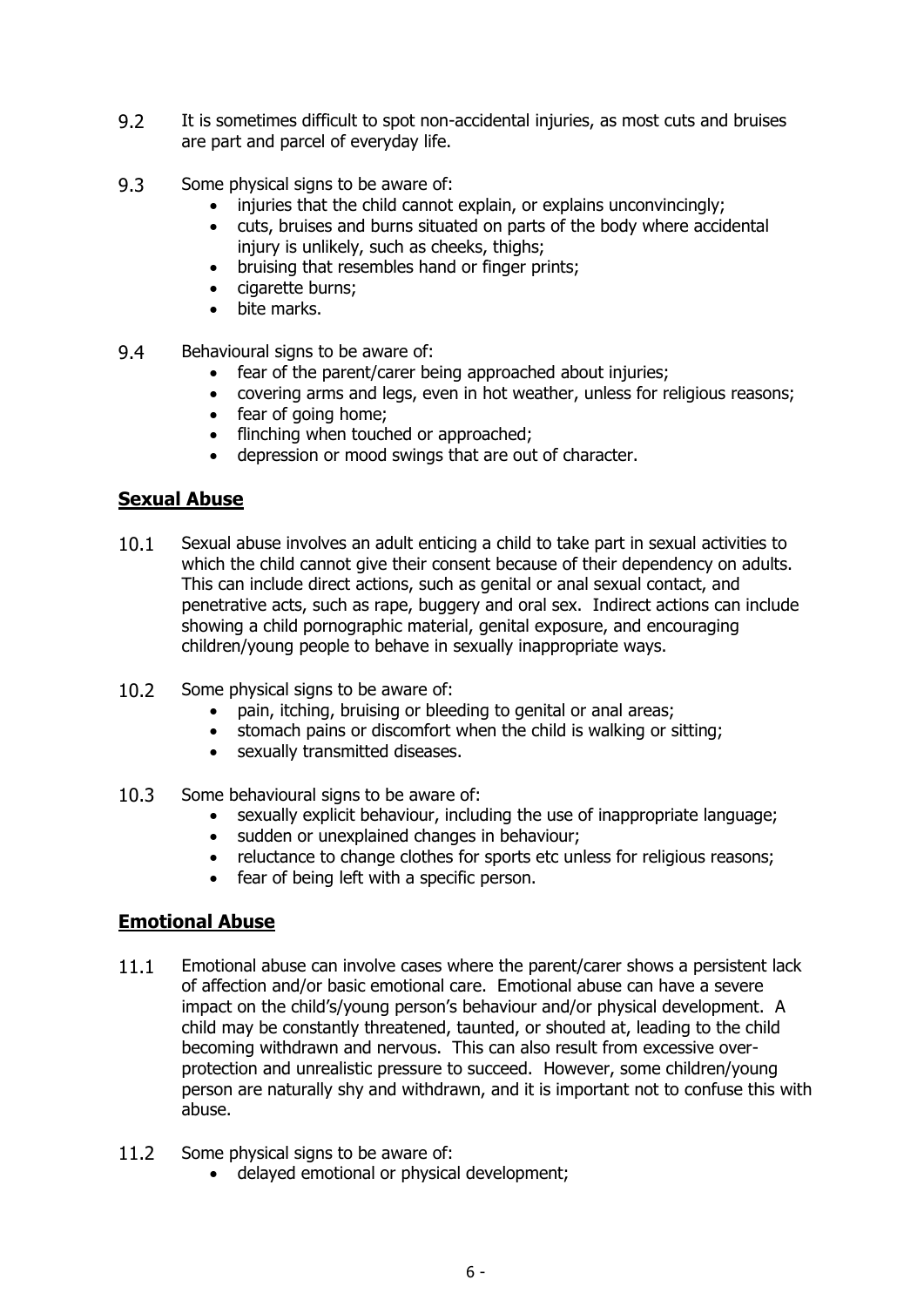- 9.2 It is sometimes difficult to spot non-accidental injuries, as most cuts and bruises are part and parcel of everyday life.
- 9.3 Some physical signs to be aware of:
	- injuries that the child cannot explain, or explains unconvincingly;
	- cuts, bruises and burns situated on parts of the body where accidental injury is unlikely, such as cheeks, thighs;
	- bruising that resembles hand or finger prints;
	- cigarette burns;
	- bite marks.
- 9.4 Behavioural signs to be aware of:
	- fear of the parent/carer being approached about injuries;
	- covering arms and legs, even in hot weather, unless for religious reasons;
	- fear of going home;
	- flinching when touched or approached;
	- depression or mood swings that are out of character.

## **Sexual Abuse**

- 10.1 Sexual abuse involves an adult enticing a child to take part in sexual activities to which the child cannot give their consent because of their dependency on adults. This can include direct actions, such as genital or anal sexual contact, and penetrative acts, such as rape, buggery and oral sex. Indirect actions can include showing a child pornographic material, genital exposure, and encouraging children/young people to behave in sexually inappropriate ways.
- 10.2 Some physical signs to be aware of:
	- pain, itching, bruising or bleeding to genital or anal areas;
	- stomach pains or discomfort when the child is walking or sitting;
	- sexually transmitted diseases.
- 10.3 Some behavioural signs to be aware of:
	- sexually explicit behaviour, including the use of inappropriate language;
	- sudden or unexplained changes in behaviour;
	- reluctance to change clothes for sports etc unless for religious reasons;
	- fear of being left with a specific person.

## **Emotional Abuse**

- 11.1 Emotional abuse can involve cases where the parent/carer shows a persistent lack of affection and/or basic emotional care. Emotional abuse can have a severe impact on the child's/young person's behaviour and/or physical development. A child may be constantly threatened, taunted, or shouted at, leading to the child becoming withdrawn and nervous. This can also result from excessive overprotection and unrealistic pressure to succeed. However, some children/young person are naturally shy and withdrawn, and it is important not to confuse this with abuse.
- 11.2 Some physical signs to be aware of:
	- delayed emotional or physical development;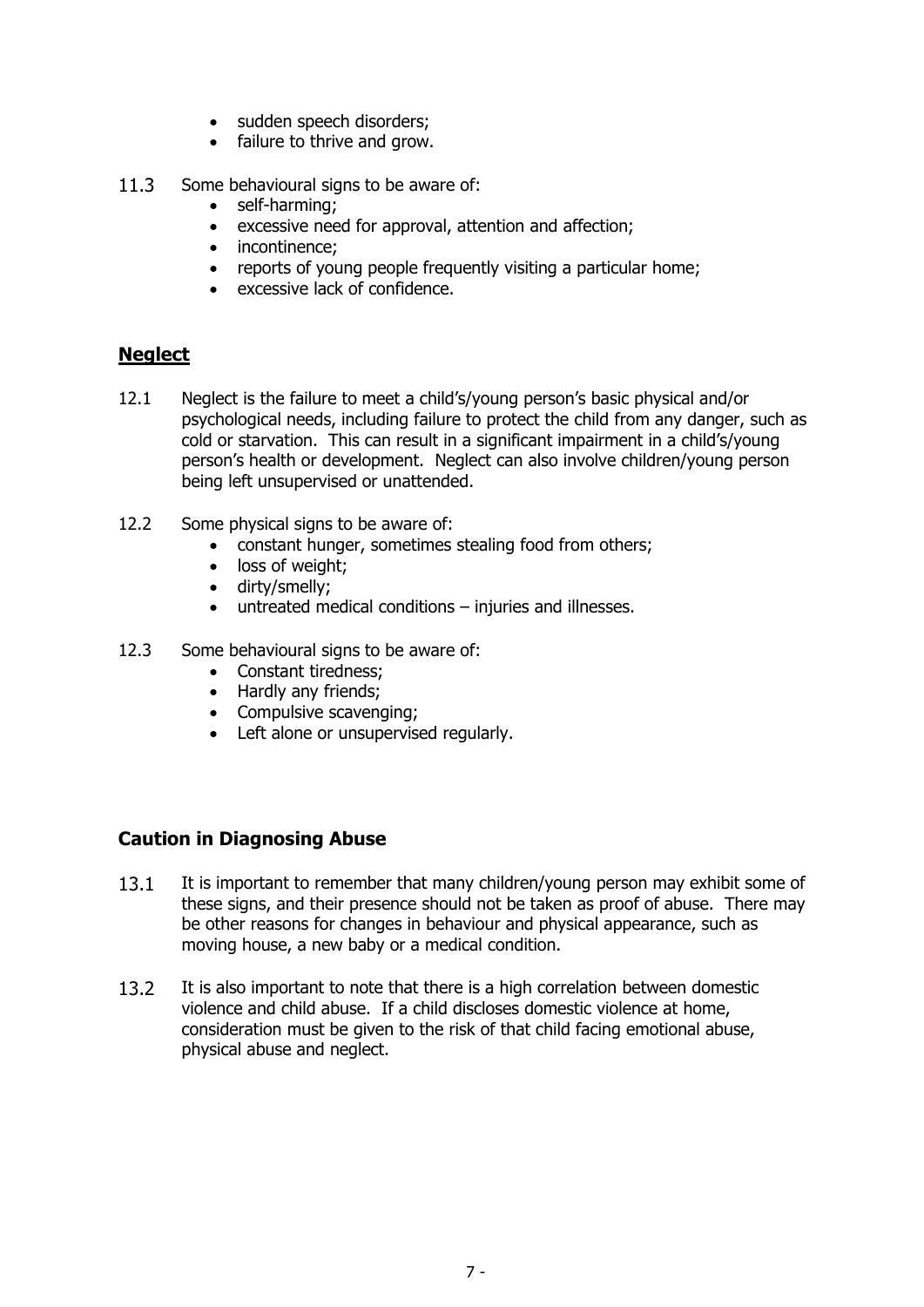- sudden speech disorders;
- failure to thrive and grow.
- 11.3 Some behavioural signs to be aware of:
	- self-harming;
	- excessive need for approval, attention and affection;
	- incontinence;
	- reports of young people frequently visiting a particular home;
	- excessive lack of confidence.

#### **Neglect**

- 12.1 Neglect is the failure to meet a child's/young person's basic physical and/or psychological needs, including failure to protect the child from any danger, such as cold or starvation. This can result in a significant impairment in a child's/young person's health or development. Neglect can also involve children/young person being left unsupervised or unattended.
- 12.2 Some physical signs to be aware of:
	- constant hunger, sometimes stealing food from others;
	- loss of weight;
	- dirty/smelly;
	- untreated medical conditions injuries and illnesses.
- 12.3 Some behavioural signs to be aware of:
	- Constant tiredness;
	- Hardly any friends;
	- Compulsive scavenging;
	- Left alone or unsupervised regularly.

## **Caution in Diagnosing Abuse**

- 13.1 It is important to remember that many children/young person may exhibit some of these signs, and their presence should not be taken as proof of abuse. There may be other reasons for changes in behaviour and physical appearance, such as moving house, a new baby or a medical condition.
- 13.2 It is also important to note that there is a high correlation between domestic violence and child abuse. If a child discloses domestic violence at home, consideration must be given to the risk of that child facing emotional abuse, physical abuse and neglect.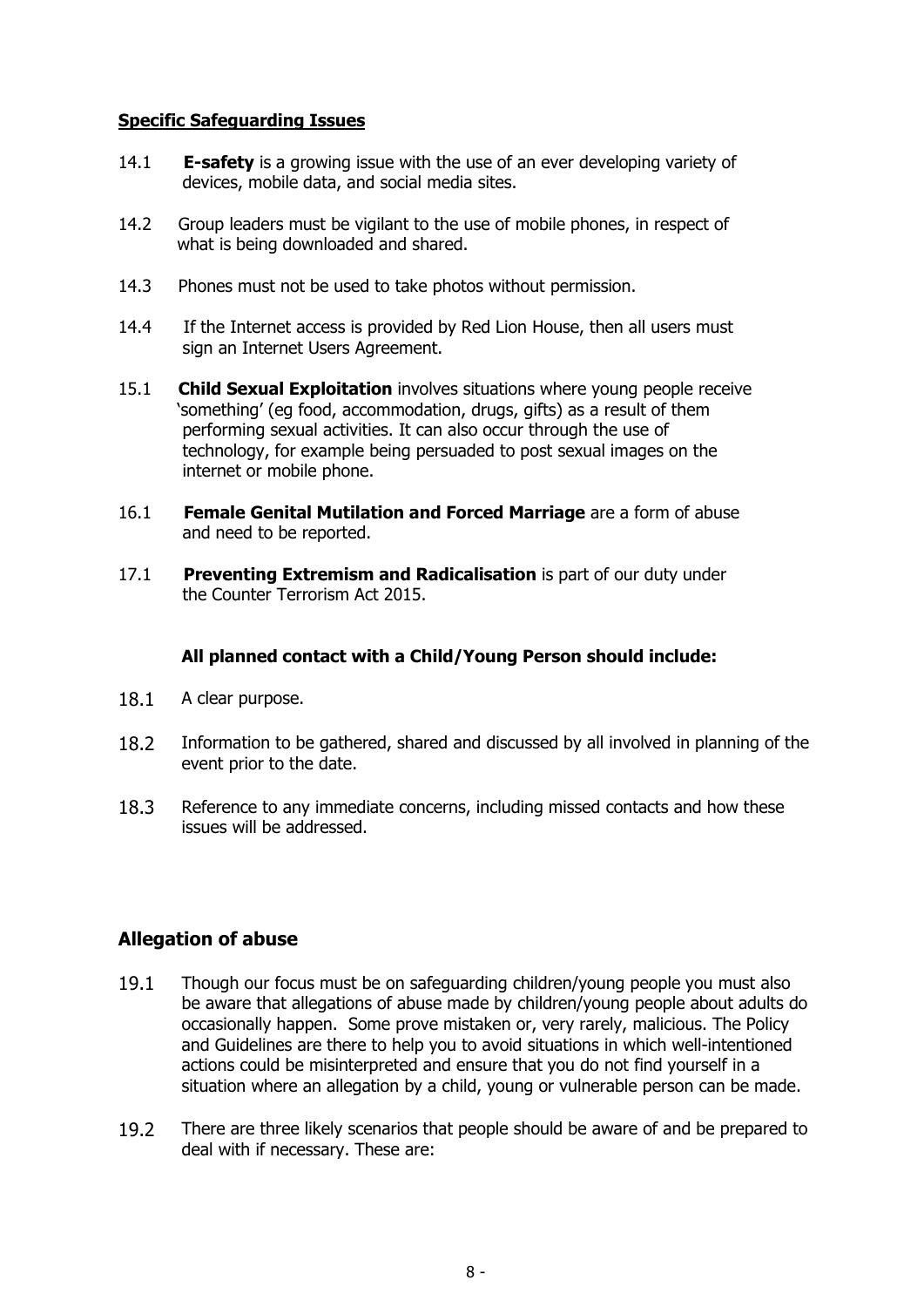#### **Specific Safeguarding Issues**

- 14.1 **E-safety** is a growing issue with the use of an ever developing variety of devices, mobile data, and social media sites.
- 14.2 Group leaders must be vigilant to the use of mobile phones, in respect of what is being downloaded and shared.
- 14.3 Phones must not be used to take photos without permission.
- 14.4 If the Internet access is provided by Red Lion House, then all users must sign an Internet Users Agreement.
- 15.1 **Child Sexual Exploitation** involves situations where young people receive 'something' (eg food, accommodation, drugs, gifts) as a result of them performing sexual activities. It can also occur through the use of technology, for example being persuaded to post sexual images on the internet or mobile phone.
- 16.1 **Female Genital Mutilation and Forced Marriage** are a form of abuse and need to be reported.
- 17.1 **Preventing Extremism and Radicalisation** is part of our duty under the Counter Terrorism Act 2015.

#### **All planned contact with a Child/Young Person should include:**

- 18.1 A clear purpose.
- 18.2 Information to be gathered, shared and discussed by all involved in planning of the event prior to the date.
- 18.3 Reference to any immediate concerns, including missed contacts and how these issues will be addressed.

#### **Allegation of abuse**

- 19.1 Though our focus must be on safeguarding children/young people you must also be aware that allegations of abuse made by children/young people about adults do occasionally happen. Some prove mistaken or, very rarely, malicious. The Policy and Guidelines are there to help you to avoid situations in which well-intentioned actions could be misinterpreted and ensure that you do not find yourself in a situation where an allegation by a child, young or vulnerable person can be made.
- 19.2 There are three likely scenarios that people should be aware of and be prepared to deal with if necessary. These are: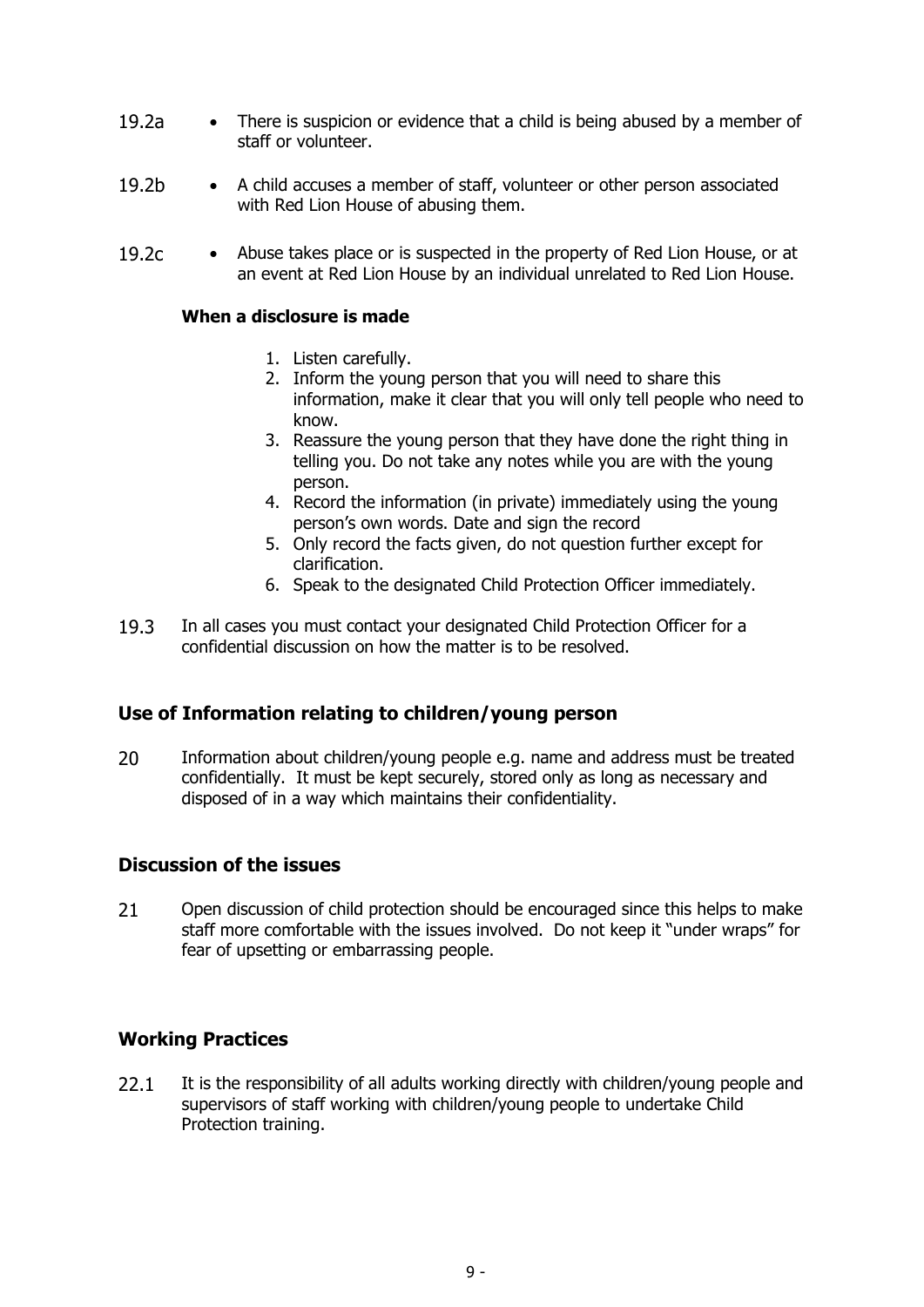- 19.2a There is suspicion or evidence that a child is being abused by a member of staff or volunteer.
- 19.2b A child accuses a member of staff, volunteer or other person associated with Red Lion House of abusing them.
- 19.2c Abuse takes place or is suspected in the property of Red Lion House, or at an event at Red Lion House by an individual unrelated to Red Lion House.

#### **When a disclosure is made**

- 1. Listen carefully.
- 2. Inform the young person that you will need to share this information, make it clear that you will only tell people who need to know.
- 3. Reassure the young person that they have done the right thing in telling you. Do not take any notes while you are with the young person.
- 4. Record the information (in private) immediately using the young person's own words. Date and sign the record
- 5. Only record the facts given, do not question further except for clarification.
- 6. Speak to the designated Child Protection Officer immediately.
- 19.3 In all cases you must contact your designated Child Protection Officer for a confidential discussion on how the matter is to be resolved.

## **Use of Information relating to children/young person**

20 Information about children/young people e.g. name and address must be treated confidentially. It must be kept securely, stored only as long as necessary and disposed of in a way which maintains their confidentiality.

#### **Discussion of the issues**

21 Open discussion of child protection should be encouraged since this helps to make staff more comfortable with the issues involved. Do not keep it "under wraps" for fear of upsetting or embarrassing people.

## **Working Practices**

22.1 It is the responsibility of all adults working directly with children/young people and supervisors of staff working with children/young people to undertake Child Protection training.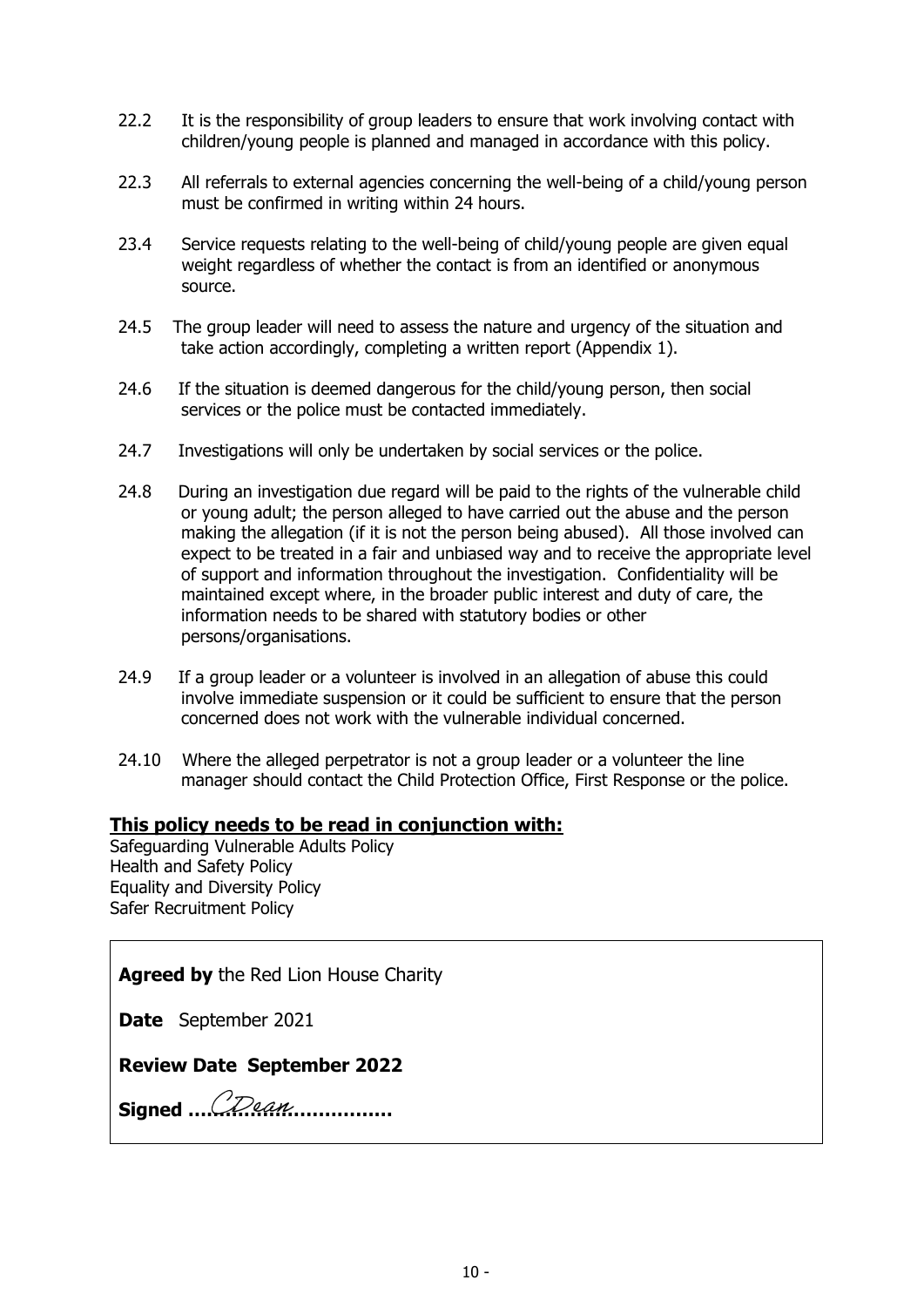- 22.2 It is the responsibility of group leaders to ensure that work involving contact with children/young people is planned and managed in accordance with this policy.
- 22.3 All referrals to external agencies concerning the well-being of a child/young person must be confirmed in writing within 24 hours.
- 23.4 Service requests relating to the well-being of child/young people are given equal weight regardless of whether the contact is from an identified or anonymous source.
- 24.5 The group leader will need to assess the nature and urgency of the situation and take action accordingly, completing a written report (Appendix 1).
- 24.6 If the situation is deemed dangerous for the child/young person, then social services or the police must be contacted immediately.
- 24.7 Investigations will only be undertaken by social services or the police.
- 24.8 During an investigation due regard will be paid to the rights of the vulnerable child or young adult; the person alleged to have carried out the abuse and the person making the allegation (if it is not the person being abused). All those involved can expect to be treated in a fair and unbiased way and to receive the appropriate level of support and information throughout the investigation. Confidentiality will be maintained except where, in the broader public interest and duty of care, the information needs to be shared with statutory bodies or other persons/organisations.
- 24.9 If a group leader or a volunteer is involved in an allegation of abuse this could involve immediate suspension or it could be sufficient to ensure that the person concerned does not work with the vulnerable individual concerned.
- 24.10 Where the alleged perpetrator is not a group leader or a volunteer the line manager should contact the Child Protection Office, First Response or the police.

#### **This policy needs to be read in conjunction with:**

Safeguarding Vulnerable Adults Policy Health and Safety Policy Equality and Diversity Policy Safer Recruitment Policy

**Agreed by** the Red Lion House Charity

**Date** September 2021

**Review Date September 2022**

**Signed ……………………………**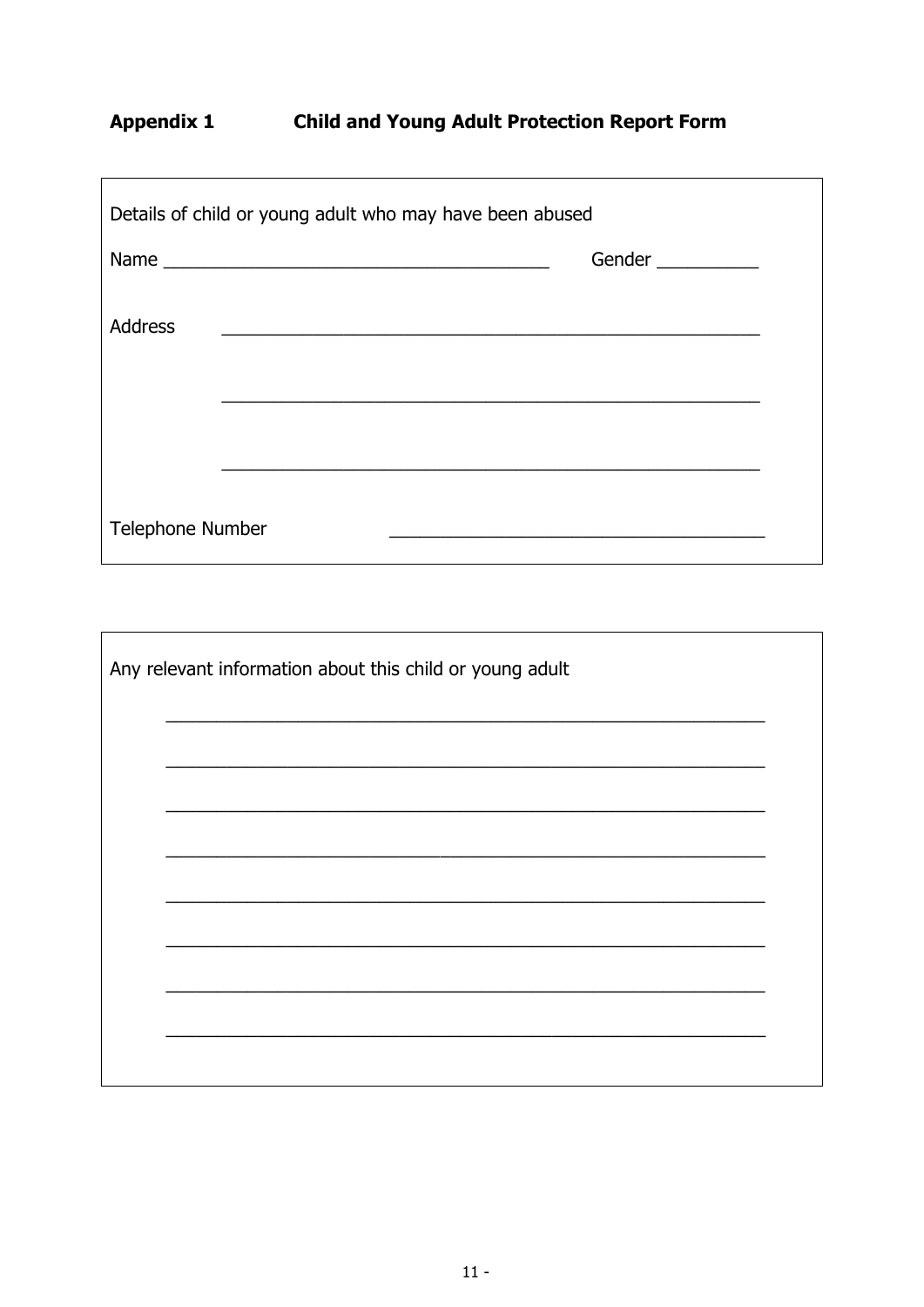## Appendix 1 Child and Young Adult Protection Report Form

<u> 1989 - Johann Stoff, deutscher Stoff, der Stoff, der Stoff, der Stoff, der Stoff, der Stoff, der Stoff, der S</u>

| Details of child or young adult who may have been abused |  |        |  |  |
|----------------------------------------------------------|--|--------|--|--|
|                                                          |  | Gender |  |  |
| <b>Address</b>                                           |  |        |  |  |
|                                                          |  |        |  |  |
|                                                          |  |        |  |  |
|                                                          |  |        |  |  |
| <b>Telephone Number</b>                                  |  |        |  |  |

| Any relevant information about this child or young adult |  |  |  |
|----------------------------------------------------------|--|--|--|
|                                                          |  |  |  |
|                                                          |  |  |  |
|                                                          |  |  |  |
|                                                          |  |  |  |
|                                                          |  |  |  |
|                                                          |  |  |  |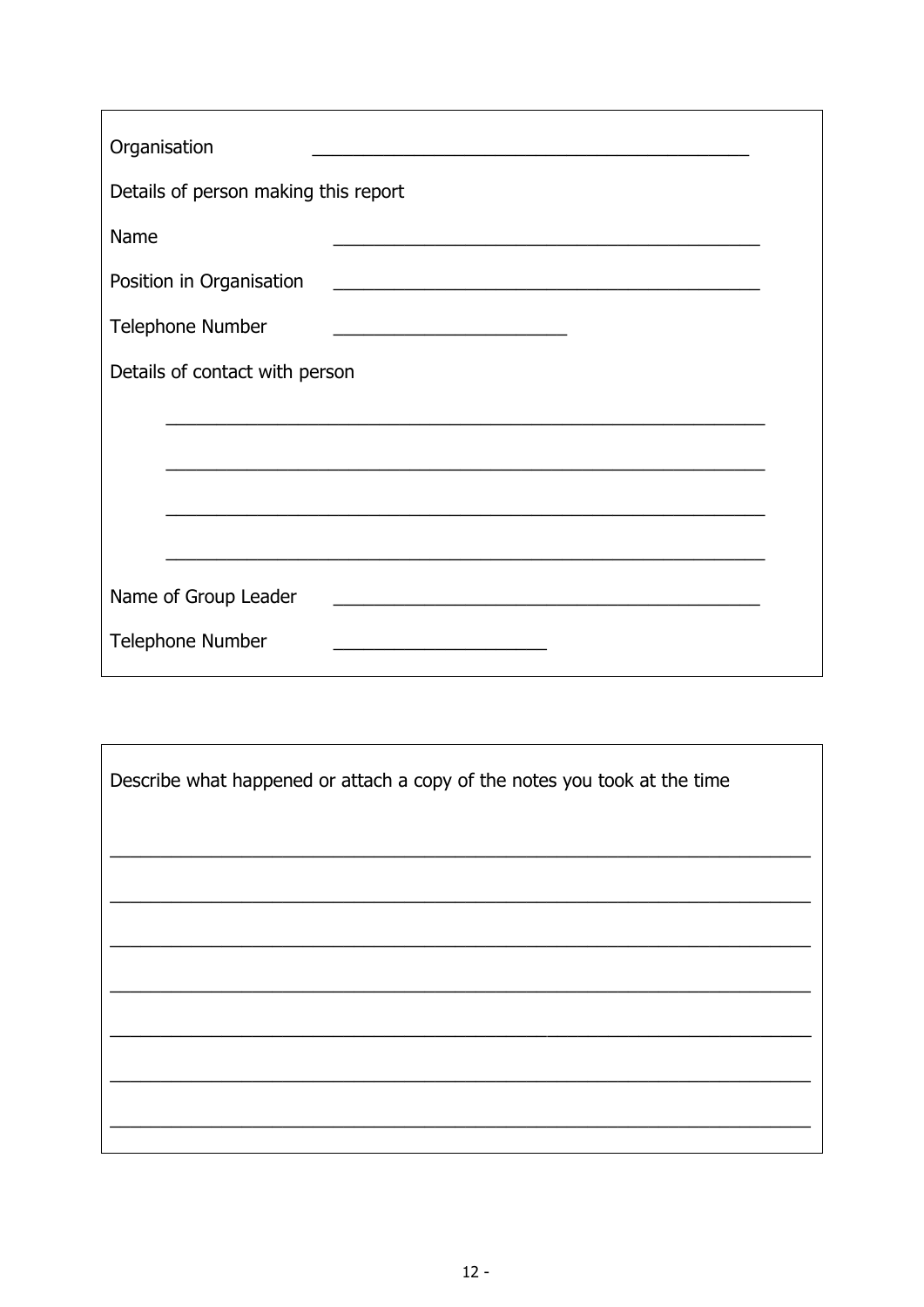| Organisation                                                                                                                                     |  |  |  |  |  |
|--------------------------------------------------------------------------------------------------------------------------------------------------|--|--|--|--|--|
| Details of person making this report                                                                                                             |  |  |  |  |  |
| Name                                                                                                                                             |  |  |  |  |  |
| Position in Organisation<br><u> 1989 - Johann John Stone, market fransk politiker (d. 1989)</u>                                                  |  |  |  |  |  |
| <b>Telephone Number</b><br><u> 1950 - Johann Barbara, martin din bashkar a shekara 1950 - 1951 - 1952 - 1953 - 1954 - 1955 - 1956 - 1957 - 1</u> |  |  |  |  |  |
| Details of contact with person                                                                                                                   |  |  |  |  |  |
|                                                                                                                                                  |  |  |  |  |  |
|                                                                                                                                                  |  |  |  |  |  |
|                                                                                                                                                  |  |  |  |  |  |
|                                                                                                                                                  |  |  |  |  |  |
| Name of Group Leader<br><u> 1989 - Johann Stein, mars et al. 1989 - Anna ann an t-Anna ann an t-Anna ann an t-Anna ann an t-Anna ann an t-</u>   |  |  |  |  |  |
| <b>Telephone Number</b>                                                                                                                          |  |  |  |  |  |

| Describe what happened or attach a copy of the notes you took at the time |  |  |
|---------------------------------------------------------------------------|--|--|
|                                                                           |  |  |
|                                                                           |  |  |
|                                                                           |  |  |
|                                                                           |  |  |
|                                                                           |  |  |
|                                                                           |  |  |

 $\mathbf{r}$ 

 $\overline{\mathbf{1}}$